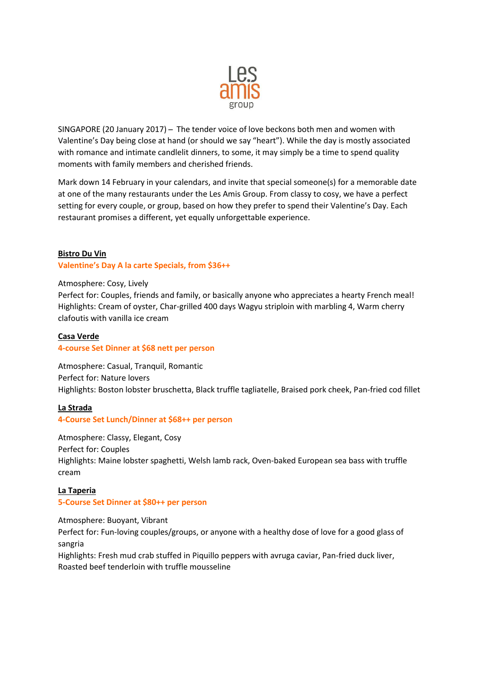

SINGAPORE (20 January 2017) ̶ The tender voice of love beckons both men and women with Valentine's Day being close at hand (or should we say "heart"). While the day is mostly associated with romance and intimate candlelit dinners, to some, it may simply be a time to spend quality moments with family members and cherished friends.

Mark down 14 February in your calendars, and invite that special someone(s) for a memorable date at one of the many restaurants under the Les Amis Group. From classy to cosy, we have a perfect setting for every couple, or group, based on how they prefer to spend their Valentine's Day. Each restaurant promises a different, yet equally unforgettable experience.

### **Bistro Du Vin**

#### **Valentine's Day A la carte Specials, from \$36++**

#### Atmosphere: Cosy, Lively

Perfect for: Couples, friends and family, or basically anyone who appreciates a hearty French meal! Highlights: Cream of oyster, Char-grilled 400 days Wagyu striploin with marbling 4, Warm cherry clafoutis with vanilla ice cream

#### **Casa Verde**

#### **4-course Set Dinner at \$68 nett per person**

Atmosphere: Casual, Tranquil, Romantic Perfect for: Nature lovers Highlights: Boston lobster bruschetta, Black truffle tagliatelle, Braised pork cheek, Pan-fried cod fillet

#### **La Strada**

#### **4-Course Set Lunch/Dinner at \$68++ per person**

Atmosphere: Classy, Elegant, Cosy Perfect for: Couples Highlights: Maine lobster spaghetti, Welsh lamb rack, Oven-baked European sea bass with truffle cream

## **La Taperia 5-Course Set Dinner at \$80++ per person**

Atmosphere: Buoyant, Vibrant Perfect for: Fun-loving couples/groups, or anyone with a healthy dose of love for a good glass of sangria

Highlights: Fresh mud crab stuffed in Piquillo peppers with avruga caviar, Pan-fried duck liver, Roasted beef tenderloin with truffle mousseline